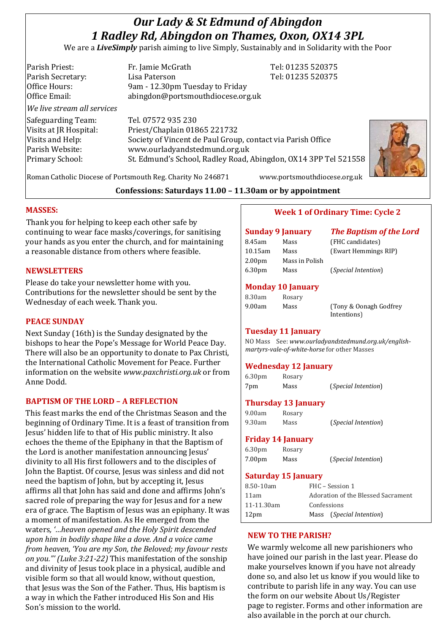# *Our Lady & St Edmund of Abingdon 1 Radley Rd, Abingdon on Thames, Oxon, OX14 3PL*

We are a *LiveSimply* parish aiming to live Simply, Sustainably and in Solidarity with the Poor

| Parish Priest:              | Fr. Jamie McGrath                                               | Tel: 01235 520375 |
|-----------------------------|-----------------------------------------------------------------|-------------------|
| Parish Secretary:           | Lisa Paterson                                                   | Tel: 01235 520375 |
| Office Hours:               | 9am - 12.30pm Tuesday to Friday                                 |                   |
| Office Email:               | abingdon@portsmouthdiocese.org.uk                               |                   |
| We live stream all services |                                                                 |                   |
| Safeguarding Team:          | Tel. 07572 935 230                                              |                   |
| Visits at JR Hospital:      | Priest/Chaplain 01865 221732                                    |                   |
| Visits and Help:            | Society of Vincent de Paul Group, contact via Parish Office     |                   |
| Parish Website:             | www.ourladyandstedmund.org.uk                                   |                   |
| <b>Primary School:</b>      | St. Edmund's School, Radley Road, Abingdon, OX14 3PP Tel 521558 |                   |
|                             |                                                                 |                   |



Roman Catholic Diocese of Portsmouth Reg. Charity No 246871 www.portsmouthdiocese.org.uk

## **Confessions: Saturdays 11.00 – 11.30am or by appointment**

# **MASSES:**

Thank you for helping to keep each other safe by continuing to wear face masks/coverings, for sanitising your hands as you enter the church, and for maintaining a reasonable distance from others where feasible.

#### **NEWSLETTERS**

Please do take your newsletter home with you. Contributions for the newsletter should be sent by the Wednesday of each week. Thank you.

#### **PEACE SUNDAY**

Next Sunday (16th) is the Sunday designated by the bishops to hear the Pope's Message for World Peace Day. There will also be an opportunity to donate to Pax Christi, the International Catholic Movement for Peace. Further information on the website *www.paxchristi.org.uk* or from Anne Dodd.

# **BAPTISM OF THE LORD – A REFLECTION**

This feast marks the end of the Christmas Season and the beginning of Ordinary Time. It is a feast of transition from Jesus' hidden life to that of His public ministry. It also echoes the theme of the Epiphany in that the Baptism of the Lord is another manifestation announcing Jesus' divinity to all His first followers and to the disciples of John the Baptist. Of course, Jesus was sinless and did not need the baptism of John, but by accepting it, Jesus affirms all that John has said and done and affirms John's sacred role of preparing the way for Jesus and for a new era of grace. The Baptism of Jesus was an epiphany. It was a moment of manifestation. As He emerged from the waters*, '…heaven opened and the Holy Spirit descended upon him in bodily shape like a dove. And a voice came from heaven, 'You are my Son, the Beloved; my favour rests on you."' (Luke 3:21-22)* This manifestation of the sonship and divinity of Jesus took place in a physical, audible and visible form so that all would know, without question, that Jesus was the Son of the Father. Thus, His baptism is a way in which the Father introduced His Son and His Son's mission to the world.

# **Week 1 of Ordinary Time: Cycle 2**

| <b>Sunday 9 January</b> |                | <b>The Baptism of the Lord</b> |
|-------------------------|----------------|--------------------------------|
| 8.45am                  | Mass           | (FHC candidates)               |
| $10.15$ am              | Mass           | (Ewart Hemmings RIP)           |
| 2.00 <sub>pm</sub>      | Mass in Polish |                                |
| 6.30 <sub>pm</sub>      | Mass           | ( <i>Special Intention</i> )   |

## **Monday 10 January**

| 8.30am | Rosary |                         |
|--------|--------|-------------------------|
| 9.00am | Mass   | (Tony & Oonagh Godfrey) |
|        |        | Intentions)             |

# **Tuesday 11 January**

NO Mass See: *www.ourladyandstedmund.org.uk/englishmartyrs-vale-of-white-horse* for other Masses

# **Wednesday 12 January**

| 6.30 <sub>pm</sub> | Rosary |                              |
|--------------------|--------|------------------------------|
| 7pm                | Mass   | ( <i>Special Intention</i> ) |

# **Thursday 13 January**

| 9.00am | Rosary |                              |
|--------|--------|------------------------------|
| 9.30am | Mass   | ( <i>Special Intention</i> ) |

## **Friday 14 January**

| 6.30 <sub>pm</sub> | Rosary |                              |
|--------------------|--------|------------------------------|
| 7.00pm             | Mass   | ( <i>Special Intention</i> ) |

# **Saturday 15 January**

| 8.50-10am        | FHC – Session 1                    |  |
|------------------|------------------------------------|--|
| 11am             | Adoration of the Blessed Sacrament |  |
| 11-11.30am       | Confessions                        |  |
| 12 <sub>pm</sub> | Mass ( <i>Special Intention</i> )  |  |

# **NEW TO THE PARISH?**

We warmly welcome all new parishioners who have joined our parish in the last year. Please do make yourselves known if you have not already done so, and also let us know if you would like to contribute to parish life in any way. You can use the form on our website About Us/Register page to register. Forms and other information are also available in the porch at our church.